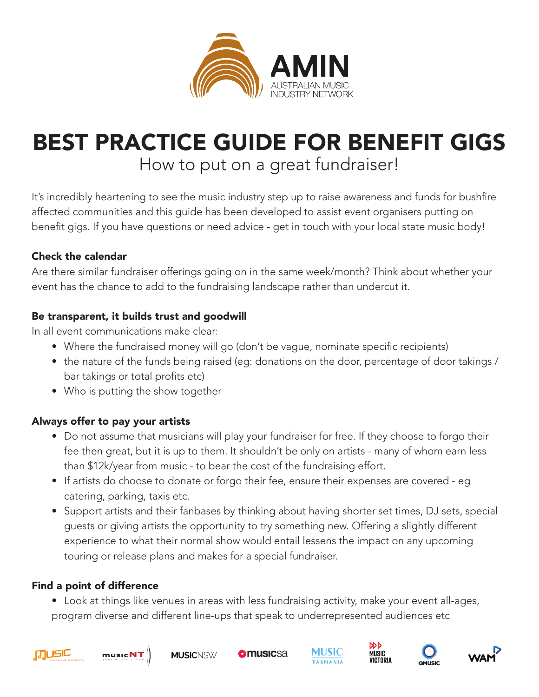

# BEST PRACTICE GUIDE FOR BENEFIT GIGS How to put on a great fundraiser!

It's incredibly heartening to see the music industry step up to raise awareness and funds for bushfire affected communities and this guide has been developed to assist event organisers putting on benefit gigs. If you have questions or need advice - get in touch with your local state music body!

## Check the calendar

Are there similar fundraiser offerings going on in the same week/month? Think about whether your event has the chance to add to the fundraising landscape rather than undercut it.

### Be transparent, it builds trust and goodwill

In all event communications make clear:

- Where the fundraised money will go (don't be vague, nominate specific recipients)
- the nature of the funds being raised (eg: donations on the door, percentage of door takings / bar takings or total profits etc)
- Who is putting the show together

### Always offer to pay your artists

- Do not assume that musicians will play your fundraiser for free. If they choose to forgo their fee then great, but it is up to them. It shouldn't be only on artists - many of whom earn less than \$12k/year from music - to bear the cost of the fundraising effort.
- If artists do choose to donate or forgo their fee, ensure their expenses are covered eg catering, parking, taxis etc.
- Support artists and their fanbases by thinking about having shorter set times, DJ sets, special guests or giving artists the opportunity to try something new. Offering a slightly different experience to what their normal show would entail lessens the impact on any upcoming touring or release plans and makes for a special fundraiser.

## Find a point of difference

• Look at things like venues in areas with less fundraising activity, make your event all-ages, program diverse and different line-ups that speak to underrepresented audiences etc